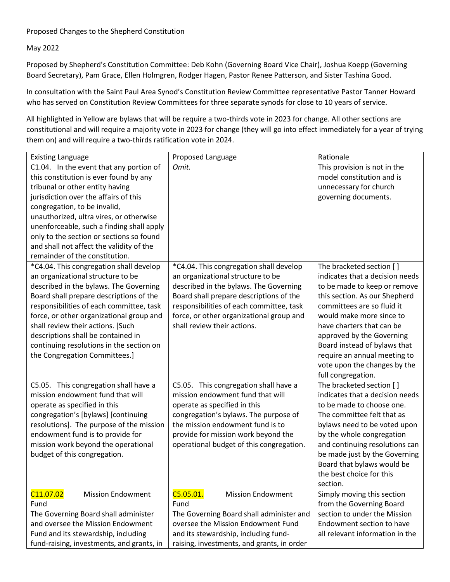## Proposed Changes to the Shepherd Constitution

May 2022

Proposed by Shepherd's Constitution Committee: Deb Kohn (Governing Board Vice Chair), Joshua Koepp (Governing Board Secretary), Pam Grace, Ellen Holmgren, Rodger Hagen, Pastor Renee Patterson, and Sister Tashina Good.

In consultation with the Saint Paul Area Synod's Constitution Review Committee representative Pastor Tanner Howard who has served on Constitution Review Committees for three separate synods for close to 10 years of service.

All highlighted in Yellow are bylaws that will be require a two-thirds vote in 2023 for change. All other sections are constitutional and will require a majority vote in 2023 for change (they will go into effect immediately for a year of trying them on) and will require a two-thirds ratification vote in 2024.

| <b>Existing Language</b>                                                                                                                                                                                                                                                                                                                                                                                          | Proposed Language                                                                                                                                                                                                                                                                        | Rationale                                                                                                                                                                                                                                                                                                                                                              |
|-------------------------------------------------------------------------------------------------------------------------------------------------------------------------------------------------------------------------------------------------------------------------------------------------------------------------------------------------------------------------------------------------------------------|------------------------------------------------------------------------------------------------------------------------------------------------------------------------------------------------------------------------------------------------------------------------------------------|------------------------------------------------------------------------------------------------------------------------------------------------------------------------------------------------------------------------------------------------------------------------------------------------------------------------------------------------------------------------|
| C1.04. In the event that any portion of<br>this constitution is ever found by any<br>tribunal or other entity having<br>jurisdiction over the affairs of this<br>congregation, to be invalid,<br>unauthorized, ultra vires, or otherwise<br>unenforceable, such a finding shall apply<br>only to the section or sections so found<br>and shall not affect the validity of the<br>remainder of the constitution.   | Omit.                                                                                                                                                                                                                                                                                    | This provision is not in the<br>model constitution and is<br>unnecessary for church<br>governing documents.                                                                                                                                                                                                                                                            |
| *C4.04. This congregation shall develop<br>an organizational structure to be<br>described in the bylaws. The Governing<br>Board shall prepare descriptions of the<br>responsibilities of each committee, task<br>force, or other organizational group and<br>shall review their actions. [Such<br>descriptions shall be contained in<br>continuing resolutions in the section on<br>the Congregation Committees.] | *C4.04. This congregation shall develop<br>an organizational structure to be<br>described in the bylaws. The Governing<br>Board shall prepare descriptions of the<br>responsibilities of each committee, task<br>force, or other organizational group and<br>shall review their actions. | The bracketed section []<br>indicates that a decision needs<br>to be made to keep or remove<br>this section. As our Shepherd<br>committees are so fluid it<br>would make more since to<br>have charters that can be<br>approved by the Governing<br>Board instead of bylaws that<br>require an annual meeting to<br>vote upon the changes by the<br>full congregation. |
| C5.05. This congregation shall have a<br>mission endowment fund that will<br>operate as specified in this<br>congregation's [bylaws] [continuing<br>resolutions]. The purpose of the mission<br>endowment fund is to provide for<br>mission work beyond the operational<br>budget of this congregation.                                                                                                           | C5.05. This congregation shall have a<br>mission endowment fund that will<br>operate as specified in this<br>congregation's bylaws. The purpose of<br>the mission endowment fund is to<br>provide for mission work beyond the<br>operational budget of this congregation.                | The bracketed section []<br>indicates that a decision needs<br>to be made to choose one.<br>The committee felt that as<br>bylaws need to be voted upon<br>by the whole congregation<br>and continuing resolutions can<br>be made just by the Governing<br>Board that bylaws would be<br>the best choice for this<br>section.                                           |
| C <sub>11.07.02</sub><br><b>Mission Endowment</b><br>Fund<br>The Governing Board shall administer<br>and oversee the Mission Endowment<br>Fund and its stewardship, including<br>fund-raising, investments, and grants, in                                                                                                                                                                                        | C5.05.01.<br><b>Mission Endowment</b><br>Fund<br>The Governing Board shall administer and<br>oversee the Mission Endowment Fund<br>and its stewardship, including fund-<br>raising, investments, and grants, in order                                                                    | Simply moving this section<br>from the Governing Board<br>section to under the Mission<br>Endowment section to have<br>all relevant information in the                                                                                                                                                                                                                 |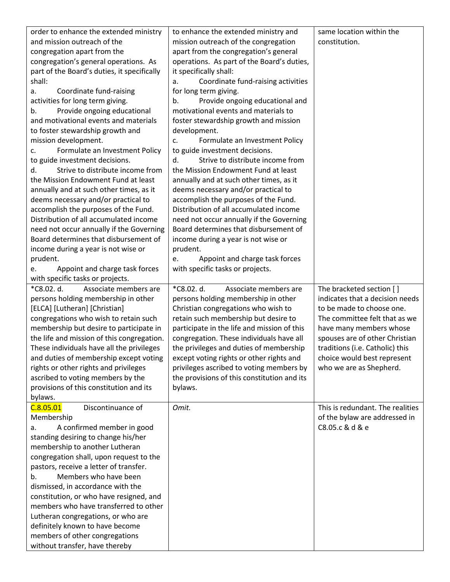| order to enhance the extended ministry<br>same location within the<br>to enhance the extended ministry and<br>and mission outreach of the<br>mission outreach of the congregation<br>constitution.<br>congregation apart from the<br>apart from the congregation's general<br>congregation's general operations. As<br>operations. As part of the Board's duties,<br>it specifically shall:<br>part of the Board's duties, it specifically<br>shall:<br>Coordinate fund-raising activities<br>a.<br>Coordinate fund-raising<br>for long term giving.<br>a.<br>activities for long term giving.<br>Provide ongoing educational and<br>b.<br>Provide ongoing educational<br>motivational events and materials to<br>b.<br>and motivational events and materials<br>foster stewardship growth and mission<br>to foster stewardship growth and<br>development.<br>mission development.<br>Formulate an Investment Policy<br>c.<br>Formulate an Investment Policy<br>to guide investment decisions.<br>C <sub>1</sub><br>Strive to distribute income from<br>to guide investment decisions.<br>d.<br>Strive to distribute income from<br>the Mission Endowment Fund at least<br>d.<br>the Mission Endowment Fund at least<br>annually and at such other times, as it<br>annually and at such other times, as it<br>deems necessary and/or practical to<br>accomplish the purposes of the Fund.<br>deems necessary and/or practical to<br>accomplish the purposes of the Fund.<br>Distribution of all accumulated income<br>Distribution of all accumulated income<br>need not occur annually if the Governing<br>Board determines that disbursement of<br>need not occur annually if the Governing<br>Board determines that disbursement of<br>income during a year is not wise or<br>income during a year is not wise or<br>prudent.<br>prudent.<br>Appoint and charge task forces<br>e.<br>with specific tasks or projects.<br>Appoint and charge task forces<br>e.<br>with specific tasks or projects.<br>*C8.02. d.<br>*C8.02. d.<br>Associate members are<br>Associate members are<br>The bracketed section []<br>indicates that a decision needs<br>persons holding membership in other<br>persons holding membership in other<br>[ELCA] [Lutheran] [Christian]<br>to be made to choose one.<br>Christian congregations who wish to<br>congregations who wish to retain such<br>retain such membership but desire to<br>The committee felt that as we<br>membership but desire to participate in<br>participate in the life and mission of this<br>have many members whose<br>the life and mission of this congregation.<br>spouses are of other Christian<br>congregation. These individuals have all<br>These individuals have all the privileges<br>the privileges and duties of membership<br>traditions (i.e. Catholic) this<br>and duties of membership except voting<br>except voting rights or other rights and<br>choice would best represent<br>rights or other rights and privileges<br>privileges ascribed to voting members by<br>who we are as Shepherd.<br>ascribed to voting members by the<br>the provisions of this constitution and its<br>provisions of this constitution and its<br>bylaws.<br>bylaws.<br>C.8.05.01<br>Discontinuance of<br>Omit.<br>This is redundant. The realities<br>of the bylaw are addressed in<br>Membership<br>C8.05.c & d & e<br>A confirmed member in good<br>a.<br>standing desiring to change his/her<br>membership to another Lutheran<br>congregation shall, upon request to the<br>pastors, receive a letter of transfer.<br>Members who have been<br>b.<br>dismissed, in accordance with the<br>constitution, or who have resigned, and<br>members who have transferred to other<br>Lutheran congregations, or who are<br>definitely known to have become<br>members of other congregations |                                |  |
|----------------------------------------------------------------------------------------------------------------------------------------------------------------------------------------------------------------------------------------------------------------------------------------------------------------------------------------------------------------------------------------------------------------------------------------------------------------------------------------------------------------------------------------------------------------------------------------------------------------------------------------------------------------------------------------------------------------------------------------------------------------------------------------------------------------------------------------------------------------------------------------------------------------------------------------------------------------------------------------------------------------------------------------------------------------------------------------------------------------------------------------------------------------------------------------------------------------------------------------------------------------------------------------------------------------------------------------------------------------------------------------------------------------------------------------------------------------------------------------------------------------------------------------------------------------------------------------------------------------------------------------------------------------------------------------------------------------------------------------------------------------------------------------------------------------------------------------------------------------------------------------------------------------------------------------------------------------------------------------------------------------------------------------------------------------------------------------------------------------------------------------------------------------------------------------------------------------------------------------------------------------------------------------------------------------------------------------------------------------------------------------------------------------------------------------------------------------------------------------------------------------------------------------------------------------------------------------------------------------------------------------------------------------------------------------------------------------------------------------------------------------------------------------------------------------------------------------------------------------------------------------------------------------------------------------------------------------------------------------------------------------------------------------------------------------------------------------------------------------------------------------------------------------------------------------------------------------------------------------------------------------------------------------------------------------------------------------------------------------------------------------------------------------------------------------------------------------------------------------------------------------------------------------------------------------------------------------------------------------------------------------------------------------------------------------------------------------------------------------------------------------------------------------------------------------------------------------------------|--------------------------------|--|
|                                                                                                                                                                                                                                                                                                                                                                                                                                                                                                                                                                                                                                                                                                                                                                                                                                                                                                                                                                                                                                                                                                                                                                                                                                                                                                                                                                                                                                                                                                                                                                                                                                                                                                                                                                                                                                                                                                                                                                                                                                                                                                                                                                                                                                                                                                                                                                                                                                                                                                                                                                                                                                                                                                                                                                                                                                                                                                                                                                                                                                                                                                                                                                                                                                                                                                                                                                                                                                                                                                                                                                                                                                                                                                                                                                                                                                                    |                                |  |
|                                                                                                                                                                                                                                                                                                                                                                                                                                                                                                                                                                                                                                                                                                                                                                                                                                                                                                                                                                                                                                                                                                                                                                                                                                                                                                                                                                                                                                                                                                                                                                                                                                                                                                                                                                                                                                                                                                                                                                                                                                                                                                                                                                                                                                                                                                                                                                                                                                                                                                                                                                                                                                                                                                                                                                                                                                                                                                                                                                                                                                                                                                                                                                                                                                                                                                                                                                                                                                                                                                                                                                                                                                                                                                                                                                                                                                                    |                                |  |
|                                                                                                                                                                                                                                                                                                                                                                                                                                                                                                                                                                                                                                                                                                                                                                                                                                                                                                                                                                                                                                                                                                                                                                                                                                                                                                                                                                                                                                                                                                                                                                                                                                                                                                                                                                                                                                                                                                                                                                                                                                                                                                                                                                                                                                                                                                                                                                                                                                                                                                                                                                                                                                                                                                                                                                                                                                                                                                                                                                                                                                                                                                                                                                                                                                                                                                                                                                                                                                                                                                                                                                                                                                                                                                                                                                                                                                                    |                                |  |
|                                                                                                                                                                                                                                                                                                                                                                                                                                                                                                                                                                                                                                                                                                                                                                                                                                                                                                                                                                                                                                                                                                                                                                                                                                                                                                                                                                                                                                                                                                                                                                                                                                                                                                                                                                                                                                                                                                                                                                                                                                                                                                                                                                                                                                                                                                                                                                                                                                                                                                                                                                                                                                                                                                                                                                                                                                                                                                                                                                                                                                                                                                                                                                                                                                                                                                                                                                                                                                                                                                                                                                                                                                                                                                                                                                                                                                                    |                                |  |
|                                                                                                                                                                                                                                                                                                                                                                                                                                                                                                                                                                                                                                                                                                                                                                                                                                                                                                                                                                                                                                                                                                                                                                                                                                                                                                                                                                                                                                                                                                                                                                                                                                                                                                                                                                                                                                                                                                                                                                                                                                                                                                                                                                                                                                                                                                                                                                                                                                                                                                                                                                                                                                                                                                                                                                                                                                                                                                                                                                                                                                                                                                                                                                                                                                                                                                                                                                                                                                                                                                                                                                                                                                                                                                                                                                                                                                                    |                                |  |
|                                                                                                                                                                                                                                                                                                                                                                                                                                                                                                                                                                                                                                                                                                                                                                                                                                                                                                                                                                                                                                                                                                                                                                                                                                                                                                                                                                                                                                                                                                                                                                                                                                                                                                                                                                                                                                                                                                                                                                                                                                                                                                                                                                                                                                                                                                                                                                                                                                                                                                                                                                                                                                                                                                                                                                                                                                                                                                                                                                                                                                                                                                                                                                                                                                                                                                                                                                                                                                                                                                                                                                                                                                                                                                                                                                                                                                                    |                                |  |
|                                                                                                                                                                                                                                                                                                                                                                                                                                                                                                                                                                                                                                                                                                                                                                                                                                                                                                                                                                                                                                                                                                                                                                                                                                                                                                                                                                                                                                                                                                                                                                                                                                                                                                                                                                                                                                                                                                                                                                                                                                                                                                                                                                                                                                                                                                                                                                                                                                                                                                                                                                                                                                                                                                                                                                                                                                                                                                                                                                                                                                                                                                                                                                                                                                                                                                                                                                                                                                                                                                                                                                                                                                                                                                                                                                                                                                                    |                                |  |
|                                                                                                                                                                                                                                                                                                                                                                                                                                                                                                                                                                                                                                                                                                                                                                                                                                                                                                                                                                                                                                                                                                                                                                                                                                                                                                                                                                                                                                                                                                                                                                                                                                                                                                                                                                                                                                                                                                                                                                                                                                                                                                                                                                                                                                                                                                                                                                                                                                                                                                                                                                                                                                                                                                                                                                                                                                                                                                                                                                                                                                                                                                                                                                                                                                                                                                                                                                                                                                                                                                                                                                                                                                                                                                                                                                                                                                                    |                                |  |
|                                                                                                                                                                                                                                                                                                                                                                                                                                                                                                                                                                                                                                                                                                                                                                                                                                                                                                                                                                                                                                                                                                                                                                                                                                                                                                                                                                                                                                                                                                                                                                                                                                                                                                                                                                                                                                                                                                                                                                                                                                                                                                                                                                                                                                                                                                                                                                                                                                                                                                                                                                                                                                                                                                                                                                                                                                                                                                                                                                                                                                                                                                                                                                                                                                                                                                                                                                                                                                                                                                                                                                                                                                                                                                                                                                                                                                                    |                                |  |
|                                                                                                                                                                                                                                                                                                                                                                                                                                                                                                                                                                                                                                                                                                                                                                                                                                                                                                                                                                                                                                                                                                                                                                                                                                                                                                                                                                                                                                                                                                                                                                                                                                                                                                                                                                                                                                                                                                                                                                                                                                                                                                                                                                                                                                                                                                                                                                                                                                                                                                                                                                                                                                                                                                                                                                                                                                                                                                                                                                                                                                                                                                                                                                                                                                                                                                                                                                                                                                                                                                                                                                                                                                                                                                                                                                                                                                                    |                                |  |
|                                                                                                                                                                                                                                                                                                                                                                                                                                                                                                                                                                                                                                                                                                                                                                                                                                                                                                                                                                                                                                                                                                                                                                                                                                                                                                                                                                                                                                                                                                                                                                                                                                                                                                                                                                                                                                                                                                                                                                                                                                                                                                                                                                                                                                                                                                                                                                                                                                                                                                                                                                                                                                                                                                                                                                                                                                                                                                                                                                                                                                                                                                                                                                                                                                                                                                                                                                                                                                                                                                                                                                                                                                                                                                                                                                                                                                                    |                                |  |
|                                                                                                                                                                                                                                                                                                                                                                                                                                                                                                                                                                                                                                                                                                                                                                                                                                                                                                                                                                                                                                                                                                                                                                                                                                                                                                                                                                                                                                                                                                                                                                                                                                                                                                                                                                                                                                                                                                                                                                                                                                                                                                                                                                                                                                                                                                                                                                                                                                                                                                                                                                                                                                                                                                                                                                                                                                                                                                                                                                                                                                                                                                                                                                                                                                                                                                                                                                                                                                                                                                                                                                                                                                                                                                                                                                                                                                                    |                                |  |
|                                                                                                                                                                                                                                                                                                                                                                                                                                                                                                                                                                                                                                                                                                                                                                                                                                                                                                                                                                                                                                                                                                                                                                                                                                                                                                                                                                                                                                                                                                                                                                                                                                                                                                                                                                                                                                                                                                                                                                                                                                                                                                                                                                                                                                                                                                                                                                                                                                                                                                                                                                                                                                                                                                                                                                                                                                                                                                                                                                                                                                                                                                                                                                                                                                                                                                                                                                                                                                                                                                                                                                                                                                                                                                                                                                                                                                                    |                                |  |
|                                                                                                                                                                                                                                                                                                                                                                                                                                                                                                                                                                                                                                                                                                                                                                                                                                                                                                                                                                                                                                                                                                                                                                                                                                                                                                                                                                                                                                                                                                                                                                                                                                                                                                                                                                                                                                                                                                                                                                                                                                                                                                                                                                                                                                                                                                                                                                                                                                                                                                                                                                                                                                                                                                                                                                                                                                                                                                                                                                                                                                                                                                                                                                                                                                                                                                                                                                                                                                                                                                                                                                                                                                                                                                                                                                                                                                                    |                                |  |
|                                                                                                                                                                                                                                                                                                                                                                                                                                                                                                                                                                                                                                                                                                                                                                                                                                                                                                                                                                                                                                                                                                                                                                                                                                                                                                                                                                                                                                                                                                                                                                                                                                                                                                                                                                                                                                                                                                                                                                                                                                                                                                                                                                                                                                                                                                                                                                                                                                                                                                                                                                                                                                                                                                                                                                                                                                                                                                                                                                                                                                                                                                                                                                                                                                                                                                                                                                                                                                                                                                                                                                                                                                                                                                                                                                                                                                                    |                                |  |
|                                                                                                                                                                                                                                                                                                                                                                                                                                                                                                                                                                                                                                                                                                                                                                                                                                                                                                                                                                                                                                                                                                                                                                                                                                                                                                                                                                                                                                                                                                                                                                                                                                                                                                                                                                                                                                                                                                                                                                                                                                                                                                                                                                                                                                                                                                                                                                                                                                                                                                                                                                                                                                                                                                                                                                                                                                                                                                                                                                                                                                                                                                                                                                                                                                                                                                                                                                                                                                                                                                                                                                                                                                                                                                                                                                                                                                                    |                                |  |
|                                                                                                                                                                                                                                                                                                                                                                                                                                                                                                                                                                                                                                                                                                                                                                                                                                                                                                                                                                                                                                                                                                                                                                                                                                                                                                                                                                                                                                                                                                                                                                                                                                                                                                                                                                                                                                                                                                                                                                                                                                                                                                                                                                                                                                                                                                                                                                                                                                                                                                                                                                                                                                                                                                                                                                                                                                                                                                                                                                                                                                                                                                                                                                                                                                                                                                                                                                                                                                                                                                                                                                                                                                                                                                                                                                                                                                                    |                                |  |
|                                                                                                                                                                                                                                                                                                                                                                                                                                                                                                                                                                                                                                                                                                                                                                                                                                                                                                                                                                                                                                                                                                                                                                                                                                                                                                                                                                                                                                                                                                                                                                                                                                                                                                                                                                                                                                                                                                                                                                                                                                                                                                                                                                                                                                                                                                                                                                                                                                                                                                                                                                                                                                                                                                                                                                                                                                                                                                                                                                                                                                                                                                                                                                                                                                                                                                                                                                                                                                                                                                                                                                                                                                                                                                                                                                                                                                                    |                                |  |
|                                                                                                                                                                                                                                                                                                                                                                                                                                                                                                                                                                                                                                                                                                                                                                                                                                                                                                                                                                                                                                                                                                                                                                                                                                                                                                                                                                                                                                                                                                                                                                                                                                                                                                                                                                                                                                                                                                                                                                                                                                                                                                                                                                                                                                                                                                                                                                                                                                                                                                                                                                                                                                                                                                                                                                                                                                                                                                                                                                                                                                                                                                                                                                                                                                                                                                                                                                                                                                                                                                                                                                                                                                                                                                                                                                                                                                                    |                                |  |
|                                                                                                                                                                                                                                                                                                                                                                                                                                                                                                                                                                                                                                                                                                                                                                                                                                                                                                                                                                                                                                                                                                                                                                                                                                                                                                                                                                                                                                                                                                                                                                                                                                                                                                                                                                                                                                                                                                                                                                                                                                                                                                                                                                                                                                                                                                                                                                                                                                                                                                                                                                                                                                                                                                                                                                                                                                                                                                                                                                                                                                                                                                                                                                                                                                                                                                                                                                                                                                                                                                                                                                                                                                                                                                                                                                                                                                                    |                                |  |
|                                                                                                                                                                                                                                                                                                                                                                                                                                                                                                                                                                                                                                                                                                                                                                                                                                                                                                                                                                                                                                                                                                                                                                                                                                                                                                                                                                                                                                                                                                                                                                                                                                                                                                                                                                                                                                                                                                                                                                                                                                                                                                                                                                                                                                                                                                                                                                                                                                                                                                                                                                                                                                                                                                                                                                                                                                                                                                                                                                                                                                                                                                                                                                                                                                                                                                                                                                                                                                                                                                                                                                                                                                                                                                                                                                                                                                                    |                                |  |
|                                                                                                                                                                                                                                                                                                                                                                                                                                                                                                                                                                                                                                                                                                                                                                                                                                                                                                                                                                                                                                                                                                                                                                                                                                                                                                                                                                                                                                                                                                                                                                                                                                                                                                                                                                                                                                                                                                                                                                                                                                                                                                                                                                                                                                                                                                                                                                                                                                                                                                                                                                                                                                                                                                                                                                                                                                                                                                                                                                                                                                                                                                                                                                                                                                                                                                                                                                                                                                                                                                                                                                                                                                                                                                                                                                                                                                                    |                                |  |
|                                                                                                                                                                                                                                                                                                                                                                                                                                                                                                                                                                                                                                                                                                                                                                                                                                                                                                                                                                                                                                                                                                                                                                                                                                                                                                                                                                                                                                                                                                                                                                                                                                                                                                                                                                                                                                                                                                                                                                                                                                                                                                                                                                                                                                                                                                                                                                                                                                                                                                                                                                                                                                                                                                                                                                                                                                                                                                                                                                                                                                                                                                                                                                                                                                                                                                                                                                                                                                                                                                                                                                                                                                                                                                                                                                                                                                                    |                                |  |
|                                                                                                                                                                                                                                                                                                                                                                                                                                                                                                                                                                                                                                                                                                                                                                                                                                                                                                                                                                                                                                                                                                                                                                                                                                                                                                                                                                                                                                                                                                                                                                                                                                                                                                                                                                                                                                                                                                                                                                                                                                                                                                                                                                                                                                                                                                                                                                                                                                                                                                                                                                                                                                                                                                                                                                                                                                                                                                                                                                                                                                                                                                                                                                                                                                                                                                                                                                                                                                                                                                                                                                                                                                                                                                                                                                                                                                                    |                                |  |
|                                                                                                                                                                                                                                                                                                                                                                                                                                                                                                                                                                                                                                                                                                                                                                                                                                                                                                                                                                                                                                                                                                                                                                                                                                                                                                                                                                                                                                                                                                                                                                                                                                                                                                                                                                                                                                                                                                                                                                                                                                                                                                                                                                                                                                                                                                                                                                                                                                                                                                                                                                                                                                                                                                                                                                                                                                                                                                                                                                                                                                                                                                                                                                                                                                                                                                                                                                                                                                                                                                                                                                                                                                                                                                                                                                                                                                                    |                                |  |
|                                                                                                                                                                                                                                                                                                                                                                                                                                                                                                                                                                                                                                                                                                                                                                                                                                                                                                                                                                                                                                                                                                                                                                                                                                                                                                                                                                                                                                                                                                                                                                                                                                                                                                                                                                                                                                                                                                                                                                                                                                                                                                                                                                                                                                                                                                                                                                                                                                                                                                                                                                                                                                                                                                                                                                                                                                                                                                                                                                                                                                                                                                                                                                                                                                                                                                                                                                                                                                                                                                                                                                                                                                                                                                                                                                                                                                                    |                                |  |
|                                                                                                                                                                                                                                                                                                                                                                                                                                                                                                                                                                                                                                                                                                                                                                                                                                                                                                                                                                                                                                                                                                                                                                                                                                                                                                                                                                                                                                                                                                                                                                                                                                                                                                                                                                                                                                                                                                                                                                                                                                                                                                                                                                                                                                                                                                                                                                                                                                                                                                                                                                                                                                                                                                                                                                                                                                                                                                                                                                                                                                                                                                                                                                                                                                                                                                                                                                                                                                                                                                                                                                                                                                                                                                                                                                                                                                                    |                                |  |
|                                                                                                                                                                                                                                                                                                                                                                                                                                                                                                                                                                                                                                                                                                                                                                                                                                                                                                                                                                                                                                                                                                                                                                                                                                                                                                                                                                                                                                                                                                                                                                                                                                                                                                                                                                                                                                                                                                                                                                                                                                                                                                                                                                                                                                                                                                                                                                                                                                                                                                                                                                                                                                                                                                                                                                                                                                                                                                                                                                                                                                                                                                                                                                                                                                                                                                                                                                                                                                                                                                                                                                                                                                                                                                                                                                                                                                                    |                                |  |
|                                                                                                                                                                                                                                                                                                                                                                                                                                                                                                                                                                                                                                                                                                                                                                                                                                                                                                                                                                                                                                                                                                                                                                                                                                                                                                                                                                                                                                                                                                                                                                                                                                                                                                                                                                                                                                                                                                                                                                                                                                                                                                                                                                                                                                                                                                                                                                                                                                                                                                                                                                                                                                                                                                                                                                                                                                                                                                                                                                                                                                                                                                                                                                                                                                                                                                                                                                                                                                                                                                                                                                                                                                                                                                                                                                                                                                                    |                                |  |
|                                                                                                                                                                                                                                                                                                                                                                                                                                                                                                                                                                                                                                                                                                                                                                                                                                                                                                                                                                                                                                                                                                                                                                                                                                                                                                                                                                                                                                                                                                                                                                                                                                                                                                                                                                                                                                                                                                                                                                                                                                                                                                                                                                                                                                                                                                                                                                                                                                                                                                                                                                                                                                                                                                                                                                                                                                                                                                                                                                                                                                                                                                                                                                                                                                                                                                                                                                                                                                                                                                                                                                                                                                                                                                                                                                                                                                                    |                                |  |
|                                                                                                                                                                                                                                                                                                                                                                                                                                                                                                                                                                                                                                                                                                                                                                                                                                                                                                                                                                                                                                                                                                                                                                                                                                                                                                                                                                                                                                                                                                                                                                                                                                                                                                                                                                                                                                                                                                                                                                                                                                                                                                                                                                                                                                                                                                                                                                                                                                                                                                                                                                                                                                                                                                                                                                                                                                                                                                                                                                                                                                                                                                                                                                                                                                                                                                                                                                                                                                                                                                                                                                                                                                                                                                                                                                                                                                                    |                                |  |
|                                                                                                                                                                                                                                                                                                                                                                                                                                                                                                                                                                                                                                                                                                                                                                                                                                                                                                                                                                                                                                                                                                                                                                                                                                                                                                                                                                                                                                                                                                                                                                                                                                                                                                                                                                                                                                                                                                                                                                                                                                                                                                                                                                                                                                                                                                                                                                                                                                                                                                                                                                                                                                                                                                                                                                                                                                                                                                                                                                                                                                                                                                                                                                                                                                                                                                                                                                                                                                                                                                                                                                                                                                                                                                                                                                                                                                                    |                                |  |
|                                                                                                                                                                                                                                                                                                                                                                                                                                                                                                                                                                                                                                                                                                                                                                                                                                                                                                                                                                                                                                                                                                                                                                                                                                                                                                                                                                                                                                                                                                                                                                                                                                                                                                                                                                                                                                                                                                                                                                                                                                                                                                                                                                                                                                                                                                                                                                                                                                                                                                                                                                                                                                                                                                                                                                                                                                                                                                                                                                                                                                                                                                                                                                                                                                                                                                                                                                                                                                                                                                                                                                                                                                                                                                                                                                                                                                                    |                                |  |
|                                                                                                                                                                                                                                                                                                                                                                                                                                                                                                                                                                                                                                                                                                                                                                                                                                                                                                                                                                                                                                                                                                                                                                                                                                                                                                                                                                                                                                                                                                                                                                                                                                                                                                                                                                                                                                                                                                                                                                                                                                                                                                                                                                                                                                                                                                                                                                                                                                                                                                                                                                                                                                                                                                                                                                                                                                                                                                                                                                                                                                                                                                                                                                                                                                                                                                                                                                                                                                                                                                                                                                                                                                                                                                                                                                                                                                                    |                                |  |
|                                                                                                                                                                                                                                                                                                                                                                                                                                                                                                                                                                                                                                                                                                                                                                                                                                                                                                                                                                                                                                                                                                                                                                                                                                                                                                                                                                                                                                                                                                                                                                                                                                                                                                                                                                                                                                                                                                                                                                                                                                                                                                                                                                                                                                                                                                                                                                                                                                                                                                                                                                                                                                                                                                                                                                                                                                                                                                                                                                                                                                                                                                                                                                                                                                                                                                                                                                                                                                                                                                                                                                                                                                                                                                                                                                                                                                                    |                                |  |
|                                                                                                                                                                                                                                                                                                                                                                                                                                                                                                                                                                                                                                                                                                                                                                                                                                                                                                                                                                                                                                                                                                                                                                                                                                                                                                                                                                                                                                                                                                                                                                                                                                                                                                                                                                                                                                                                                                                                                                                                                                                                                                                                                                                                                                                                                                                                                                                                                                                                                                                                                                                                                                                                                                                                                                                                                                                                                                                                                                                                                                                                                                                                                                                                                                                                                                                                                                                                                                                                                                                                                                                                                                                                                                                                                                                                                                                    |                                |  |
|                                                                                                                                                                                                                                                                                                                                                                                                                                                                                                                                                                                                                                                                                                                                                                                                                                                                                                                                                                                                                                                                                                                                                                                                                                                                                                                                                                                                                                                                                                                                                                                                                                                                                                                                                                                                                                                                                                                                                                                                                                                                                                                                                                                                                                                                                                                                                                                                                                                                                                                                                                                                                                                                                                                                                                                                                                                                                                                                                                                                                                                                                                                                                                                                                                                                                                                                                                                                                                                                                                                                                                                                                                                                                                                                                                                                                                                    |                                |  |
|                                                                                                                                                                                                                                                                                                                                                                                                                                                                                                                                                                                                                                                                                                                                                                                                                                                                                                                                                                                                                                                                                                                                                                                                                                                                                                                                                                                                                                                                                                                                                                                                                                                                                                                                                                                                                                                                                                                                                                                                                                                                                                                                                                                                                                                                                                                                                                                                                                                                                                                                                                                                                                                                                                                                                                                                                                                                                                                                                                                                                                                                                                                                                                                                                                                                                                                                                                                                                                                                                                                                                                                                                                                                                                                                                                                                                                                    |                                |  |
|                                                                                                                                                                                                                                                                                                                                                                                                                                                                                                                                                                                                                                                                                                                                                                                                                                                                                                                                                                                                                                                                                                                                                                                                                                                                                                                                                                                                                                                                                                                                                                                                                                                                                                                                                                                                                                                                                                                                                                                                                                                                                                                                                                                                                                                                                                                                                                                                                                                                                                                                                                                                                                                                                                                                                                                                                                                                                                                                                                                                                                                                                                                                                                                                                                                                                                                                                                                                                                                                                                                                                                                                                                                                                                                                                                                                                                                    |                                |  |
|                                                                                                                                                                                                                                                                                                                                                                                                                                                                                                                                                                                                                                                                                                                                                                                                                                                                                                                                                                                                                                                                                                                                                                                                                                                                                                                                                                                                                                                                                                                                                                                                                                                                                                                                                                                                                                                                                                                                                                                                                                                                                                                                                                                                                                                                                                                                                                                                                                                                                                                                                                                                                                                                                                                                                                                                                                                                                                                                                                                                                                                                                                                                                                                                                                                                                                                                                                                                                                                                                                                                                                                                                                                                                                                                                                                                                                                    |                                |  |
|                                                                                                                                                                                                                                                                                                                                                                                                                                                                                                                                                                                                                                                                                                                                                                                                                                                                                                                                                                                                                                                                                                                                                                                                                                                                                                                                                                                                                                                                                                                                                                                                                                                                                                                                                                                                                                                                                                                                                                                                                                                                                                                                                                                                                                                                                                                                                                                                                                                                                                                                                                                                                                                                                                                                                                                                                                                                                                                                                                                                                                                                                                                                                                                                                                                                                                                                                                                                                                                                                                                                                                                                                                                                                                                                                                                                                                                    |                                |  |
|                                                                                                                                                                                                                                                                                                                                                                                                                                                                                                                                                                                                                                                                                                                                                                                                                                                                                                                                                                                                                                                                                                                                                                                                                                                                                                                                                                                                                                                                                                                                                                                                                                                                                                                                                                                                                                                                                                                                                                                                                                                                                                                                                                                                                                                                                                                                                                                                                                                                                                                                                                                                                                                                                                                                                                                                                                                                                                                                                                                                                                                                                                                                                                                                                                                                                                                                                                                                                                                                                                                                                                                                                                                                                                                                                                                                                                                    |                                |  |
|                                                                                                                                                                                                                                                                                                                                                                                                                                                                                                                                                                                                                                                                                                                                                                                                                                                                                                                                                                                                                                                                                                                                                                                                                                                                                                                                                                                                                                                                                                                                                                                                                                                                                                                                                                                                                                                                                                                                                                                                                                                                                                                                                                                                                                                                                                                                                                                                                                                                                                                                                                                                                                                                                                                                                                                                                                                                                                                                                                                                                                                                                                                                                                                                                                                                                                                                                                                                                                                                                                                                                                                                                                                                                                                                                                                                                                                    |                                |  |
|                                                                                                                                                                                                                                                                                                                                                                                                                                                                                                                                                                                                                                                                                                                                                                                                                                                                                                                                                                                                                                                                                                                                                                                                                                                                                                                                                                                                                                                                                                                                                                                                                                                                                                                                                                                                                                                                                                                                                                                                                                                                                                                                                                                                                                                                                                                                                                                                                                                                                                                                                                                                                                                                                                                                                                                                                                                                                                                                                                                                                                                                                                                                                                                                                                                                                                                                                                                                                                                                                                                                                                                                                                                                                                                                                                                                                                                    |                                |  |
|                                                                                                                                                                                                                                                                                                                                                                                                                                                                                                                                                                                                                                                                                                                                                                                                                                                                                                                                                                                                                                                                                                                                                                                                                                                                                                                                                                                                                                                                                                                                                                                                                                                                                                                                                                                                                                                                                                                                                                                                                                                                                                                                                                                                                                                                                                                                                                                                                                                                                                                                                                                                                                                                                                                                                                                                                                                                                                                                                                                                                                                                                                                                                                                                                                                                                                                                                                                                                                                                                                                                                                                                                                                                                                                                                                                                                                                    |                                |  |
|                                                                                                                                                                                                                                                                                                                                                                                                                                                                                                                                                                                                                                                                                                                                                                                                                                                                                                                                                                                                                                                                                                                                                                                                                                                                                                                                                                                                                                                                                                                                                                                                                                                                                                                                                                                                                                                                                                                                                                                                                                                                                                                                                                                                                                                                                                                                                                                                                                                                                                                                                                                                                                                                                                                                                                                                                                                                                                                                                                                                                                                                                                                                                                                                                                                                                                                                                                                                                                                                                                                                                                                                                                                                                                                                                                                                                                                    |                                |  |
|                                                                                                                                                                                                                                                                                                                                                                                                                                                                                                                                                                                                                                                                                                                                                                                                                                                                                                                                                                                                                                                                                                                                                                                                                                                                                                                                                                                                                                                                                                                                                                                                                                                                                                                                                                                                                                                                                                                                                                                                                                                                                                                                                                                                                                                                                                                                                                                                                                                                                                                                                                                                                                                                                                                                                                                                                                                                                                                                                                                                                                                                                                                                                                                                                                                                                                                                                                                                                                                                                                                                                                                                                                                                                                                                                                                                                                                    |                                |  |
|                                                                                                                                                                                                                                                                                                                                                                                                                                                                                                                                                                                                                                                                                                                                                                                                                                                                                                                                                                                                                                                                                                                                                                                                                                                                                                                                                                                                                                                                                                                                                                                                                                                                                                                                                                                                                                                                                                                                                                                                                                                                                                                                                                                                                                                                                                                                                                                                                                                                                                                                                                                                                                                                                                                                                                                                                                                                                                                                                                                                                                                                                                                                                                                                                                                                                                                                                                                                                                                                                                                                                                                                                                                                                                                                                                                                                                                    |                                |  |
|                                                                                                                                                                                                                                                                                                                                                                                                                                                                                                                                                                                                                                                                                                                                                                                                                                                                                                                                                                                                                                                                                                                                                                                                                                                                                                                                                                                                                                                                                                                                                                                                                                                                                                                                                                                                                                                                                                                                                                                                                                                                                                                                                                                                                                                                                                                                                                                                                                                                                                                                                                                                                                                                                                                                                                                                                                                                                                                                                                                                                                                                                                                                                                                                                                                                                                                                                                                                                                                                                                                                                                                                                                                                                                                                                                                                                                                    |                                |  |
|                                                                                                                                                                                                                                                                                                                                                                                                                                                                                                                                                                                                                                                                                                                                                                                                                                                                                                                                                                                                                                                                                                                                                                                                                                                                                                                                                                                                                                                                                                                                                                                                                                                                                                                                                                                                                                                                                                                                                                                                                                                                                                                                                                                                                                                                                                                                                                                                                                                                                                                                                                                                                                                                                                                                                                                                                                                                                                                                                                                                                                                                                                                                                                                                                                                                                                                                                                                                                                                                                                                                                                                                                                                                                                                                                                                                                                                    |                                |  |
|                                                                                                                                                                                                                                                                                                                                                                                                                                                                                                                                                                                                                                                                                                                                                                                                                                                                                                                                                                                                                                                                                                                                                                                                                                                                                                                                                                                                                                                                                                                                                                                                                                                                                                                                                                                                                                                                                                                                                                                                                                                                                                                                                                                                                                                                                                                                                                                                                                                                                                                                                                                                                                                                                                                                                                                                                                                                                                                                                                                                                                                                                                                                                                                                                                                                                                                                                                                                                                                                                                                                                                                                                                                                                                                                                                                                                                                    |                                |  |
|                                                                                                                                                                                                                                                                                                                                                                                                                                                                                                                                                                                                                                                                                                                                                                                                                                                                                                                                                                                                                                                                                                                                                                                                                                                                                                                                                                                                                                                                                                                                                                                                                                                                                                                                                                                                                                                                                                                                                                                                                                                                                                                                                                                                                                                                                                                                                                                                                                                                                                                                                                                                                                                                                                                                                                                                                                                                                                                                                                                                                                                                                                                                                                                                                                                                                                                                                                                                                                                                                                                                                                                                                                                                                                                                                                                                                                                    | without transfer, have thereby |  |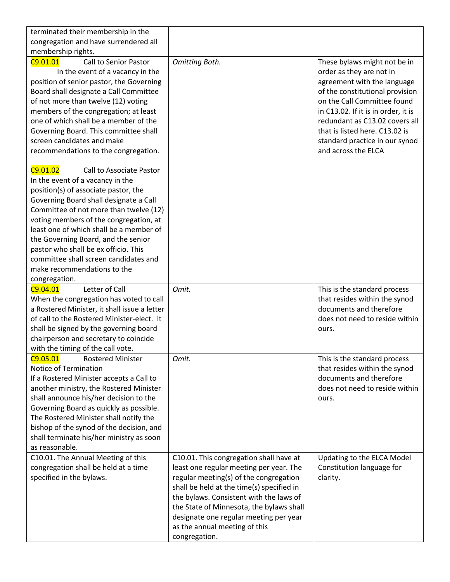| terminated their membership in the           |                                                |                                     |
|----------------------------------------------|------------------------------------------------|-------------------------------------|
| congregation and have surrendered all        |                                                |                                     |
| membership rights.                           |                                                |                                     |
| C9.01.01<br><b>Call to Senior Pastor</b>     | Omitting Both.                                 | These bylaws might not be in        |
| In the event of a vacancy in the             |                                                | order as they are not in            |
| position of senior pastor, the Governing     |                                                | agreement with the language         |
| Board shall designate a Call Committee       |                                                | of the constitutional provision     |
| of not more than twelve (12) voting          |                                                | on the Call Committee found         |
| members of the congregation; at least        |                                                | in C13.02. If it is in order, it is |
| one of which shall be a member of the        |                                                | redundant as C13.02 covers all      |
| Governing Board. This committee shall        |                                                | that is listed here. C13.02 is      |
| screen candidates and make                   |                                                | standard practice in our synod      |
| recommendations to the congregation.         |                                                | and across the ELCA                 |
| C9.01.02<br>Call to Associate Pastor         |                                                |                                     |
| In the event of a vacancy in the             |                                                |                                     |
| position(s) of associate pastor, the         |                                                |                                     |
| Governing Board shall designate a Call       |                                                |                                     |
| Committee of not more than twelve (12)       |                                                |                                     |
| voting members of the congregation, at       |                                                |                                     |
| least one of which shall be a member of      |                                                |                                     |
| the Governing Board, and the senior          |                                                |                                     |
| pastor who shall be ex officio. This         |                                                |                                     |
| committee shall screen candidates and        |                                                |                                     |
| make recommendations to the                  |                                                |                                     |
| congregation.                                |                                                |                                     |
|                                              |                                                |                                     |
| Letter of Call<br>C9.04.01                   | Omit.                                          | This is the standard process        |
| When the congregation has voted to call      |                                                | that resides within the synod       |
| a Rostered Minister, it shall issue a letter |                                                | documents and therefore             |
| of call to the Rostered Minister-elect. It   |                                                | does not need to reside within      |
| shall be signed by the governing board       |                                                | ours.                               |
| chairperson and secretary to coincide        |                                                |                                     |
| with the timing of the call vote.            |                                                |                                     |
| C9.05.01<br><b>Rostered Minister</b>         | Omit.                                          | This is the standard process        |
| Notice of Termination                        |                                                | that resides within the synod       |
| If a Rostered Minister accepts a Call to     |                                                | documents and therefore             |
| another ministry, the Rostered Minister      |                                                | does not need to reside within      |
| shall announce his/her decision to the       |                                                | ours.                               |
| Governing Board as quickly as possible.      |                                                |                                     |
| The Rostered Minister shall notify the       |                                                |                                     |
| bishop of the synod of the decision, and     |                                                |                                     |
| shall terminate his/her ministry as soon     |                                                |                                     |
| as reasonable.                               |                                                |                                     |
| C10.01. The Annual Meeting of this           | C10.01. This congregation shall have at        | Updating to the ELCA Model          |
| congregation shall be held at a time         | least one regular meeting per year. The        | Constitution language for           |
| specified in the bylaws.                     | regular meeting(s) of the congregation         | clarity.                            |
|                                              | shall be held at the time(s) specified in      |                                     |
|                                              | the bylaws. Consistent with the laws of        |                                     |
|                                              | the State of Minnesota, the bylaws shall       |                                     |
|                                              | designate one regular meeting per year         |                                     |
|                                              | as the annual meeting of this<br>congregation. |                                     |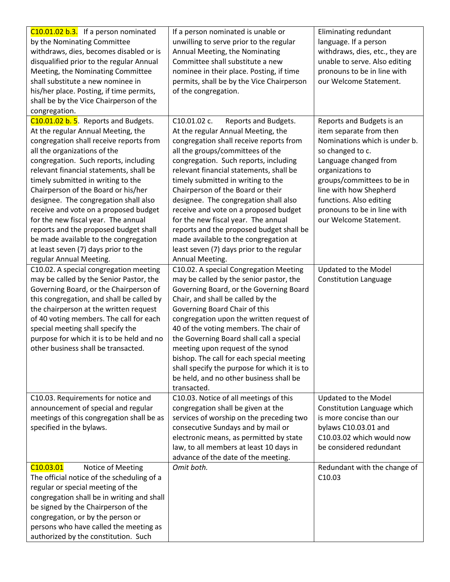| C10.01.02 b.3. If a person nominated                                     | If a person nominated is unable or           | Eliminating redundant           |
|--------------------------------------------------------------------------|----------------------------------------------|---------------------------------|
| by the Nominating Committee                                              | unwilling to serve prior to the regular      | language. If a person           |
| withdraws, dies, becomes disabled or is                                  | Annual Meeting, the Nominating               | withdraws, dies, etc., they are |
| disqualified prior to the regular Annual                                 | Committee shall substitute a new             | unable to serve. Also editing   |
| Meeting, the Nominating Committee                                        | nominee in their place. Posting, if time     | pronouns to be in line with     |
| shall substitute a new nominee in                                        | permits, shall be by the Vice Chairperson    | our Welcome Statement.          |
| his/her place. Posting, if time permits,                                 | of the congregation.                         |                                 |
| shall be by the Vice Chairperson of the                                  |                                              |                                 |
| congregation.                                                            |                                              |                                 |
| C10.01.02 b. 5. Reports and Budgets.                                     | C10.01.02 c.<br>Reports and Budgets.         | Reports and Budgets is an       |
| At the regular Annual Meeting, the                                       | At the regular Annual Meeting, the           | item separate from then         |
| congregation shall receive reports from                                  | congregation shall receive reports from      | Nominations which is under b.   |
| all the organizations of the                                             | all the groups/committees of the             | so changed to c.                |
| congregation. Such reports, including                                    | congregation. Such reports, including        | Language changed from           |
| relevant financial statements, shall be                                  | relevant financial statements, shall be      | organizations to                |
| timely submitted in writing to the                                       | timely submitted in writing to the           | groups/committees to be in      |
| Chairperson of the Board or his/her                                      | Chairperson of the Board or their            | line with how Shepherd          |
| designee. The congregation shall also                                    | designee. The congregation shall also        | functions. Also editing         |
| receive and vote on a proposed budget                                    | receive and vote on a proposed budget        | pronouns to be in line with     |
| for the new fiscal year. The annual                                      | for the new fiscal year. The annual          | our Welcome Statement.          |
| reports and the proposed budget shall                                    | reports and the proposed budget shall be     |                                 |
| be made available to the congregation                                    | made available to the congregation at        |                                 |
| at least seven (7) days prior to the                                     | least seven (7) days prior to the regular    |                                 |
| regular Annual Meeting.                                                  | Annual Meeting.                              |                                 |
| C10.02. A special congregation meeting                                   | C10.02. A special Congregation Meeting       | Updated to the Model            |
| may be called by the Senior Pastor, the                                  | may be called by the senior pastor, the      | <b>Constitution Language</b>    |
| Governing Board, or the Chairperson of                                   | Governing Board, or the Governing Board      |                                 |
| this congregation, and shall be called by                                | Chair, and shall be called by the            |                                 |
| the chairperson at the written request                                   | Governing Board Chair of this                |                                 |
| of 40 voting members. The call for each                                  | congregation upon the written request of     |                                 |
| special meeting shall specify the                                        | 40 of the voting members. The chair of       |                                 |
| purpose for which it is to be held and no                                | the Governing Board shall call a special     |                                 |
| other business shall be transacted.                                      | meeting upon request of the synod            |                                 |
|                                                                          | bishop. The call for each special meeting    |                                 |
|                                                                          | shall specify the purpose for which it is to |                                 |
|                                                                          | be held, and no other business shall be      |                                 |
|                                                                          | transacted.                                  |                                 |
| C10.03. Requirements for notice and                                      | C10.03. Notice of all meetings of this       | Updated to the Model            |
| announcement of special and regular                                      | congregation shall be given at the           | Constitution Language which     |
| meetings of this congregation shall be as                                | services of worship on the preceding two     | is more concise than our        |
| specified in the bylaws.                                                 | consecutive Sundays and by mail or           | bylaws C10.03.01 and            |
|                                                                          | electronic means, as permitted by state      | C10.03.02 which would now       |
|                                                                          | law, to all members at least 10 days in      | be considered redundant         |
|                                                                          | advance of the date of the meeting.          |                                 |
| C <sub>10.03.01</sub><br>Notice of Meeting                               | Omit both.                                   | Redundant with the change of    |
| The official notice of the scheduling of a                               |                                              | C10.03                          |
| regular or special meeting of the                                        |                                              |                                 |
| congregation shall be in writing and shall                               |                                              |                                 |
| be signed by the Chairperson of the<br>congregation, or by the person or |                                              |                                 |
| persons who have called the meeting as                                   |                                              |                                 |
| authorized by the constitution. Such                                     |                                              |                                 |
|                                                                          |                                              |                                 |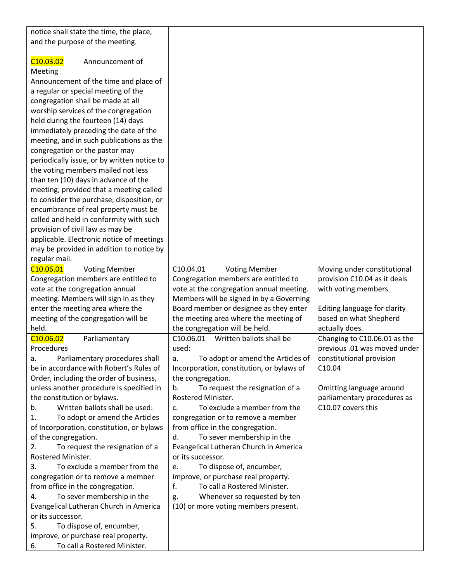| notice shall state the time, the place,       |                                           |                              |
|-----------------------------------------------|-------------------------------------------|------------------------------|
| and the purpose of the meeting.               |                                           |                              |
|                                               |                                           |                              |
| C <sub>10.03.02</sub><br>Announcement of      |                                           |                              |
| Meeting                                       |                                           |                              |
| Announcement of the time and place of         |                                           |                              |
|                                               |                                           |                              |
| a regular or special meeting of the           |                                           |                              |
| congregation shall be made at all             |                                           |                              |
| worship services of the congregation          |                                           |                              |
| held during the fourteen (14) days            |                                           |                              |
| immediately preceding the date of the         |                                           |                              |
| meeting, and in such publications as the      |                                           |                              |
| congregation or the pastor may                |                                           |                              |
| periodically issue, or by written notice to   |                                           |                              |
| the voting members mailed not less            |                                           |                              |
| than ten (10) days in advance of the          |                                           |                              |
| meeting; provided that a meeting called       |                                           |                              |
| to consider the purchase, disposition, or     |                                           |                              |
| encumbrance of real property must be          |                                           |                              |
| called and held in conformity with such       |                                           |                              |
| provision of civil law as may be              |                                           |                              |
| applicable. Electronic notice of meetings     |                                           |                              |
| may be provided in addition to notice by      |                                           |                              |
| regular mail.                                 |                                           |                              |
| C <sub>10.06.01</sub><br><b>Voting Member</b> | C10.04.01<br><b>Voting Member</b>         | Moving under constitutional  |
|                                               |                                           |                              |
| Congregation members are entitled to          | Congregation members are entitled to      | provision C10.04 as it deals |
| vote at the congregation annual               | vote at the congregation annual meeting.  | with voting members          |
| meeting. Members will sign in as they         | Members will be signed in by a Governing  |                              |
| enter the meeting area where the              | Board member or designee as they enter    | Editing language for clarity |
| meeting of the congregation will be           | the meeting area where the meeting of     | based on what Shepherd       |
| held.                                         | the congregation will be held.            | actually does.               |
| C <sub>10.06.02</sub><br>Parliamentary        | C10.06.01<br>Written ballots shall be     | Changing to C10.06.01 as the |
| Procedures                                    | used:                                     | previous .01 was moved under |
| Parliamentary procedures shall<br>a.          | To adopt or amend the Articles of<br>a.   | constitutional provision     |
| be in accordance with Robert's Rules of       | Incorporation, constitution, or bylaws of | C10.04                       |
| Order, including the order of business,       | the congregation.                         |                              |
| unless another procedure is specified in      | To request the resignation of a<br>b.     | Omitting language around     |
| the constitution or bylaws.                   | Rostered Minister.                        | parliamentary procedures as  |
| Written ballots shall be used:<br>b.          | To exclude a member from the<br>c.        | C10.07 covers this           |
| To adopt or amend the Articles<br>1.          | congregation or to remove a member        |                              |
| of Incorporation, constitution, or bylaws     | from office in the congregation.          |                              |
| of the congregation.                          | To sever membership in the<br>d.          |                              |
| 2.<br>To request the resignation of a         | Evangelical Lutheran Church in America    |                              |
| Rostered Minister.                            | or its successor.                         |                              |
| To exclude a member from the<br>3.            | To dispose of, encumber,<br>e.            |                              |
| congregation or to remove a member            | improve, or purchase real property.       |                              |
| from office in the congregation.              | f.<br>To call a Rostered Minister.        |                              |
|                                               |                                           |                              |
| To sever membership in the<br>4.              | Whenever so requested by ten<br>g.        |                              |
| Evangelical Lutheran Church in America        | (10) or more voting members present.      |                              |
| or its successor.                             |                                           |                              |
| To dispose of, encumber,<br>5.                |                                           |                              |
| improve, or purchase real property.           |                                           |                              |
| To call a Rostered Minister.<br>6.            |                                           |                              |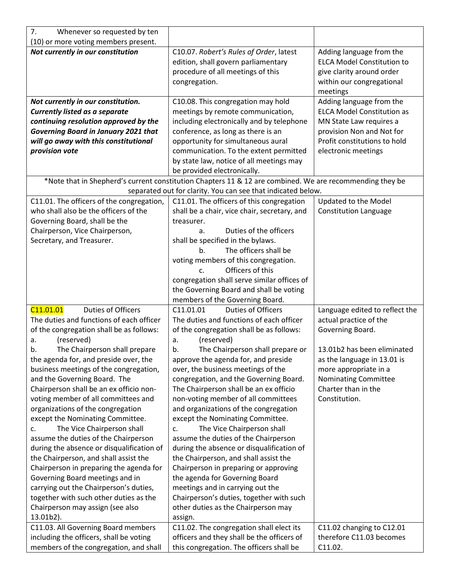| 7.<br>Whenever so requested by ten                                                                                                                                                                                                                                                                                                                                                                                                                                                                                                                                                                                                                                                                                                                                                                                                                           |                                                                                                                                                                                                                                                                                                                                                                                                                                                                                                                                                                                                                                                                                                                                                                                                                                                                                                                                      |                                                                                                                                                                                                                                            |
|--------------------------------------------------------------------------------------------------------------------------------------------------------------------------------------------------------------------------------------------------------------------------------------------------------------------------------------------------------------------------------------------------------------------------------------------------------------------------------------------------------------------------------------------------------------------------------------------------------------------------------------------------------------------------------------------------------------------------------------------------------------------------------------------------------------------------------------------------------------|--------------------------------------------------------------------------------------------------------------------------------------------------------------------------------------------------------------------------------------------------------------------------------------------------------------------------------------------------------------------------------------------------------------------------------------------------------------------------------------------------------------------------------------------------------------------------------------------------------------------------------------------------------------------------------------------------------------------------------------------------------------------------------------------------------------------------------------------------------------------------------------------------------------------------------------|--------------------------------------------------------------------------------------------------------------------------------------------------------------------------------------------------------------------------------------------|
| (10) or more voting members present.                                                                                                                                                                                                                                                                                                                                                                                                                                                                                                                                                                                                                                                                                                                                                                                                                         |                                                                                                                                                                                                                                                                                                                                                                                                                                                                                                                                                                                                                                                                                                                                                                                                                                                                                                                                      |                                                                                                                                                                                                                                            |
| Not currently in our constitution                                                                                                                                                                                                                                                                                                                                                                                                                                                                                                                                                                                                                                                                                                                                                                                                                            | C10.07. Robert's Rules of Order, latest<br>edition, shall govern parliamentary<br>procedure of all meetings of this<br>congregation.                                                                                                                                                                                                                                                                                                                                                                                                                                                                                                                                                                                                                                                                                                                                                                                                 | Adding language from the<br><b>ELCA Model Constitution to</b><br>give clarity around order<br>within our congregational<br>meetings                                                                                                        |
| Not currently in our constitution.<br><b>Currently listed as a separate</b><br>continuing resolution approved by the<br><b>Governing Board in January 2021 that</b><br>will go away with this constitutional<br>provision vote<br>C11.01. The officers of the congregation,<br>who shall also be the officers of the<br>Governing Board, shall be the<br>Chairperson, Vice Chairperson,<br>Secretary, and Treasurer.                                                                                                                                                                                                                                                                                                                                                                                                                                         | C10.08. This congregation may hold<br>meetings by remote communication,<br>including electronically and by telephone<br>conference, as long as there is an<br>opportunity for simultaneous aural<br>communication. To the extent permitted<br>by state law, notice of all meetings may<br>be provided electronically.<br>*Note that in Shepherd's current constitution Chapters 11 & 12 are combined. We are recommending they be<br>separated out for clarity. You can see that indicated below.<br>C11.01. The officers of this congregation<br>shall be a chair, vice chair, secretary, and<br>treasurer.<br>Duties of the officers<br>a.<br>shall be specified in the bylaws.<br>The officers shall be<br>b <sub>1</sub><br>voting members of this congregation.<br>Officers of this<br>$C_{\cdot}$<br>congregation shall serve similar offices of<br>the Governing Board and shall be voting<br>members of the Governing Board. | Adding language from the<br><b>ELCA Model Constitution as</b><br>MN State Law requires a<br>provision Non and Not for<br>Profit constitutions to hold<br>electronic meetings<br>Updated to the Model<br><b>Constitution Language</b>       |
| C11.01.01<br><b>Duties of Officers</b><br>The duties and functions of each officer<br>of the congregation shall be as follows:<br>(reserved)<br>a.<br>The Chairperson shall prepare<br>b.<br>the agenda for, and preside over, the<br>business meetings of the congregation,<br>and the Governing Board. The<br>Chairperson shall be an ex officio non-<br>voting member of all committees and<br>organizations of the congregation<br>except the Nominating Committee.<br>The Vice Chairperson shall<br>c.<br>assume the duties of the Chairperson<br>during the absence or disqualification of<br>the Chairperson, and shall assist the<br>Chairperson in preparing the agenda for<br>Governing Board meetings and in<br>carrying out the Chairperson's duties,<br>together with such other duties as the<br>Chairperson may assign (see also<br>13.01b2). | C11.01.01<br><b>Duties of Officers</b><br>The duties and functions of each officer<br>of the congregation shall be as follows:<br>(reserved)<br>a.<br>The Chairperson shall prepare or<br>b.<br>approve the agenda for, and preside<br>over, the business meetings of the<br>congregation, and the Governing Board.<br>The Chairperson shall be an ex officio<br>non-voting member of all committees<br>and organizations of the congregation<br>except the Nominating Committee.<br>The Vice Chairperson shall<br>c.<br>assume the duties of the Chairperson<br>during the absence or disqualification of<br>the Chairperson, and shall assist the<br>Chairperson in preparing or approving<br>the agenda for Governing Board<br>meetings and in carrying out the<br>Chairperson's duties, together with such<br>other duties as the Chairperson may<br>assign.                                                                     | Language edited to reflect the<br>actual practice of the<br>Governing Board.<br>13.01b2 has been eliminated<br>as the language in 13.01 is<br>more appropriate in a<br><b>Nominating Committee</b><br>Charter than in the<br>Constitution. |
| C11.03. All Governing Board members<br>including the officers, shall be voting<br>members of the congregation, and shall                                                                                                                                                                                                                                                                                                                                                                                                                                                                                                                                                                                                                                                                                                                                     | C11.02. The congregation shall elect its<br>officers and they shall be the officers of<br>this congregation. The officers shall be                                                                                                                                                                                                                                                                                                                                                                                                                                                                                                                                                                                                                                                                                                                                                                                                   | C11.02 changing to C12.01<br>therefore C11.03 becomes<br>C11.02.                                                                                                                                                                           |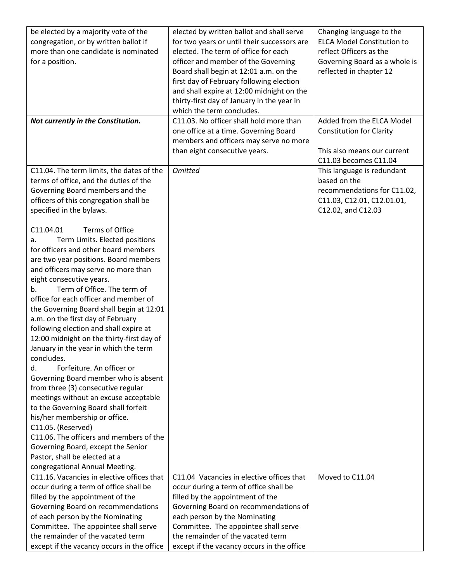| be elected by a majority vote of the<br>congregation, or by written ballot if<br>more than one candidate is nominated<br>for a position.                                                                                                                                                                                                                                                                                                                                                                                                                                                                                                                                                                                                                                                                                                                                                                                                           | elected by written ballot and shall serve<br>for two years or until their successors are<br>elected. The term of office for each<br>officer and member of the Governing<br>Board shall begin at 12:01 a.m. on the<br>first day of February following election<br>and shall expire at 12:00 midnight on the                   | Changing language to the<br><b>ELCA Model Constitution to</b><br>reflect Officers as the<br>Governing Board as a whole is<br>reflected in chapter 12 |
|----------------------------------------------------------------------------------------------------------------------------------------------------------------------------------------------------------------------------------------------------------------------------------------------------------------------------------------------------------------------------------------------------------------------------------------------------------------------------------------------------------------------------------------------------------------------------------------------------------------------------------------------------------------------------------------------------------------------------------------------------------------------------------------------------------------------------------------------------------------------------------------------------------------------------------------------------|------------------------------------------------------------------------------------------------------------------------------------------------------------------------------------------------------------------------------------------------------------------------------------------------------------------------------|------------------------------------------------------------------------------------------------------------------------------------------------------|
|                                                                                                                                                                                                                                                                                                                                                                                                                                                                                                                                                                                                                                                                                                                                                                                                                                                                                                                                                    | thirty-first day of January in the year in<br>which the term concludes.                                                                                                                                                                                                                                                      |                                                                                                                                                      |
| Not currently in the Constitution.                                                                                                                                                                                                                                                                                                                                                                                                                                                                                                                                                                                                                                                                                                                                                                                                                                                                                                                 | C11.03. No officer shall hold more than<br>one office at a time. Governing Board<br>members and officers may serve no more<br>than eight consecutive years.                                                                                                                                                                  | Added from the ELCA Model<br><b>Constitution for Clarity</b><br>This also means our current                                                          |
|                                                                                                                                                                                                                                                                                                                                                                                                                                                                                                                                                                                                                                                                                                                                                                                                                                                                                                                                                    |                                                                                                                                                                                                                                                                                                                              | C11.03 becomes C11.04                                                                                                                                |
| C11.04. The term limits, the dates of the<br>terms of office, and the duties of the<br>Governing Board members and the<br>officers of this congregation shall be<br>specified in the bylaws.                                                                                                                                                                                                                                                                                                                                                                                                                                                                                                                                                                                                                                                                                                                                                       | <b>Omitted</b>                                                                                                                                                                                                                                                                                                               | This language is redundant<br>based on the<br>recommendations for C11.02,<br>C11.03, C12.01, C12.01.01,<br>C12.02, and C12.03                        |
| C11.04.01<br>Terms of Office<br>Term Limits. Elected positions<br>a.<br>for officers and other board members<br>are two year positions. Board members<br>and officers may serve no more than<br>eight consecutive years.<br>Term of Office. The term of<br>b.<br>office for each officer and member of<br>the Governing Board shall begin at 12:01<br>a.m. on the first day of February<br>following election and shall expire at<br>12:00 midnight on the thirty-first day of<br>January in the year in which the term<br>concludes.<br>Forfeiture. An officer or<br>d.<br>Governing Board member who is absent<br>from three (3) consecutive regular<br>meetings without an excuse acceptable<br>to the Governing Board shall forfeit<br>his/her membership or office.<br>C11.05. (Reserved)<br>C11.06. The officers and members of the<br>Governing Board, except the Senior<br>Pastor, shall be elected at a<br>congregational Annual Meeting. |                                                                                                                                                                                                                                                                                                                              |                                                                                                                                                      |
| C11.16. Vacancies in elective offices that<br>occur during a term of office shall be<br>filled by the appointment of the<br>Governing Board on recommendations<br>of each person by the Nominating<br>Committee. The appointee shall serve<br>the remainder of the vacated term<br>except if the vacancy occurs in the office                                                                                                                                                                                                                                                                                                                                                                                                                                                                                                                                                                                                                      | C11.04 Vacancies in elective offices that<br>occur during a term of office shall be<br>filled by the appointment of the<br>Governing Board on recommendations of<br>each person by the Nominating<br>Committee. The appointee shall serve<br>the remainder of the vacated term<br>except if the vacancy occurs in the office | Moved to C11.04                                                                                                                                      |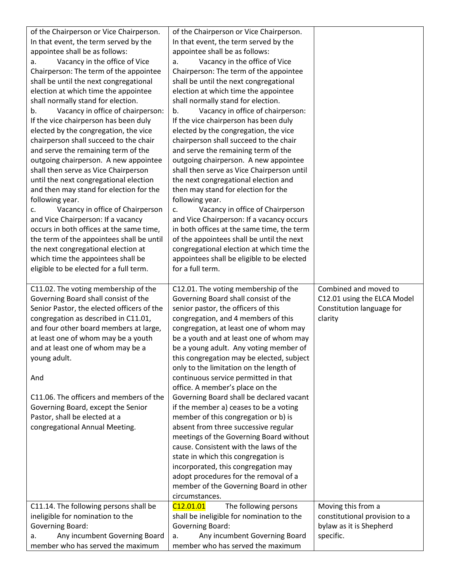| of the Chairperson or Vice Chairperson.                                  | of the Chairperson or Vice Chairperson.                                  |                               |
|--------------------------------------------------------------------------|--------------------------------------------------------------------------|-------------------------------|
| In that event, the term served by the                                    | In that event, the term served by the                                    |                               |
| appointee shall be as follows:                                           | appointee shall be as follows:                                           |                               |
|                                                                          |                                                                          |                               |
| Vacancy in the office of Vice<br>a.                                      | Vacancy in the office of Vice<br>a.                                      |                               |
| Chairperson: The term of the appointee                                   | Chairperson: The term of the appointee                                   |                               |
| shall be until the next congregational                                   | shall be until the next congregational                                   |                               |
| election at which time the appointee                                     | election at which time the appointee                                     |                               |
| shall normally stand for election.                                       | shall normally stand for election.                                       |                               |
| Vacancy in office of chairperson:<br>b.                                  | Vacancy in office of chairperson:<br>b.                                  |                               |
| If the vice chairperson has been duly                                    | If the vice chairperson has been duly                                    |                               |
| elected by the congregation, the vice                                    | elected by the congregation, the vice                                    |                               |
| chairperson shall succeed to the chair                                   | chairperson shall succeed to the chair                                   |                               |
| and serve the remaining term of the                                      | and serve the remaining term of the                                      |                               |
| outgoing chairperson. A new appointee                                    | outgoing chairperson. A new appointee                                    |                               |
| shall then serve as Vice Chairperson                                     | shall then serve as Vice Chairperson until                               |                               |
| until the next congregational election                                   | the next congregational election and                                     |                               |
| and then may stand for election for the                                  | then may stand for election for the                                      |                               |
| following year.                                                          | following year.                                                          |                               |
| Vacancy in office of Chairperson<br>c.                                   | Vacancy in office of Chairperson<br>c.                                   |                               |
| and Vice Chairperson: If a vacancy                                       | and Vice Chairperson: If a vacancy occurs                                |                               |
| occurs in both offices at the same time,                                 | in both offices at the same time, the term                               |                               |
| the term of the appointees shall be until                                | of the appointees shall be until the next                                |                               |
| the next congregational election at                                      | congregational election at which time the                                |                               |
| which time the appointees shall be                                       |                                                                          |                               |
|                                                                          | appointees shall be eligible to be elected<br>for a full term.           |                               |
| eligible to be elected for a full term.                                  |                                                                          |                               |
|                                                                          |                                                                          |                               |
|                                                                          |                                                                          |                               |
| C11.02. The voting membership of the                                     | C12.01. The voting membership of the                                     | Combined and moved to         |
| Governing Board shall consist of the                                     | Governing Board shall consist of the                                     | C12.01 using the ELCA Model   |
| Senior Pastor, the elected officers of the                               | senior pastor, the officers of this                                      | Constitution language for     |
| congregation as described in C11.01,                                     | congregation, and 4 members of this                                      | clarity                       |
| and four other board members at large,                                   | congregation, at least one of whom may                                   |                               |
| at least one of whom may be a youth                                      | be a youth and at least one of whom may                                  |                               |
| and at least one of whom may be a                                        | be a young adult. Any voting member of                                   |                               |
| young adult.                                                             | this congregation may be elected, subject                                |                               |
|                                                                          | only to the limitation on the length of                                  |                               |
| And                                                                      | continuous service permitted in that                                     |                               |
|                                                                          | office. A member's place on the                                          |                               |
| C11.06. The officers and members of the                                  | Governing Board shall be declared vacant                                 |                               |
| Governing Board, except the Senior                                       | if the member a) ceases to be a voting                                   |                               |
| Pastor, shall be elected at a                                            |                                                                          |                               |
|                                                                          | member of this congregation or b) is                                     |                               |
| congregational Annual Meeting.                                           | absent from three successive regular                                     |                               |
|                                                                          | meetings of the Governing Board without                                  |                               |
|                                                                          | cause. Consistent with the laws of the                                   |                               |
|                                                                          | state in which this congregation is                                      |                               |
|                                                                          | incorporated, this congregation may                                      |                               |
|                                                                          | adopt procedures for the removal of a                                    |                               |
|                                                                          | member of the Governing Board in other                                   |                               |
|                                                                          | circumstances.                                                           |                               |
| C11.14. The following persons shall be                                   | C <sub>12.01.01</sub><br>The following persons                           | Moving this from a            |
| ineligible for nomination to the                                         | shall be ineligible for nomination to the                                | constitutional provision to a |
| Governing Board:                                                         | Governing Board:                                                         | bylaw as it is Shepherd       |
| Any incumbent Governing Board<br>a.<br>member who has served the maximum | Any incumbent Governing Board<br>a.<br>member who has served the maximum | specific.                     |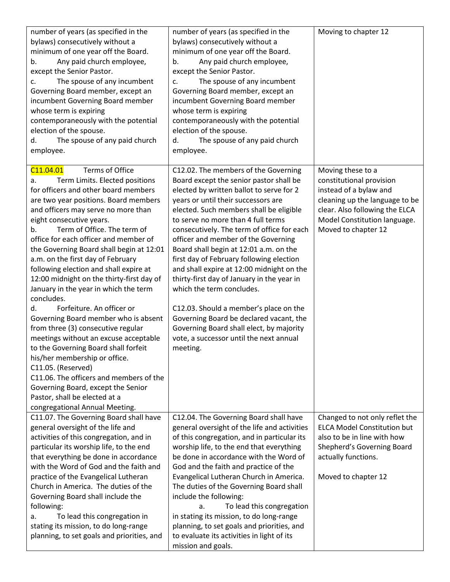| number of years (as specified in the<br>bylaws) consecutively without a<br>minimum of one year off the Board.<br>Any paid church employee,<br>b.<br>except the Senior Pastor.<br>The spouse of any incumbent<br>c.<br>Governing Board member, except an<br>incumbent Governing Board member<br>whose term is expiring<br>contemporaneously with the potential<br>election of the spouse.<br>The spouse of any paid church<br>d.<br>employee.                                                                                                                                                                                                                                                                                                                                                                                                                                                                                                       | number of years (as specified in the<br>bylaws) consecutively without a<br>minimum of one year off the Board.<br>Any paid church employee,<br>b.<br>except the Senior Pastor.<br>The spouse of any incumbent<br>c.<br>Governing Board member, except an<br>incumbent Governing Board member<br>whose term is expiring<br>contemporaneously with the potential<br>election of the spouse.<br>The spouse of any paid church<br>d.<br>employee.                                                                                                                                                                                                                                                                                                   | Moving to chapter 12                                                                                                                                                                               |
|----------------------------------------------------------------------------------------------------------------------------------------------------------------------------------------------------------------------------------------------------------------------------------------------------------------------------------------------------------------------------------------------------------------------------------------------------------------------------------------------------------------------------------------------------------------------------------------------------------------------------------------------------------------------------------------------------------------------------------------------------------------------------------------------------------------------------------------------------------------------------------------------------------------------------------------------------|------------------------------------------------------------------------------------------------------------------------------------------------------------------------------------------------------------------------------------------------------------------------------------------------------------------------------------------------------------------------------------------------------------------------------------------------------------------------------------------------------------------------------------------------------------------------------------------------------------------------------------------------------------------------------------------------------------------------------------------------|----------------------------------------------------------------------------------------------------------------------------------------------------------------------------------------------------|
| Terms of Office<br>C11.04.01<br>Term Limits. Elected positions<br>a.<br>for officers and other board members<br>are two year positions. Board members<br>and officers may serve no more than<br>eight consecutive years.<br>Term of Office. The term of<br>b.<br>office for each officer and member of<br>the Governing Board shall begin at 12:01<br>a.m. on the first day of February<br>following election and shall expire at<br>12:00 midnight on the thirty-first day of<br>January in the year in which the term<br>concludes.<br>Forfeiture. An officer or<br>d.<br>Governing Board member who is absent<br>from three (3) consecutive regular<br>meetings without an excuse acceptable<br>to the Governing Board shall forfeit<br>his/her membership or office.<br>C11.05. (Reserved)<br>C11.06. The officers and members of the<br>Governing Board, except the Senior<br>Pastor, shall be elected at a<br>congregational Annual Meeting. | C12.02. The members of the Governing<br>Board except the senior pastor shall be<br>elected by written ballot to serve for 2<br>years or until their successors are<br>elected. Such members shall be eligible<br>to serve no more than 4 full terms<br>consecutively. The term of office for each<br>officer and member of the Governing<br>Board shall begin at 12:01 a.m. on the<br>first day of February following election<br>and shall expire at 12:00 midnight on the<br>thirty-first day of January in the year in<br>which the term concludes.<br>C12.03. Should a member's place on the<br>Governing Board be declared vacant, the<br>Governing Board shall elect, by majority<br>vote, a successor until the next annual<br>meeting. | Moving these to a<br>constitutional provision<br>instead of a bylaw and<br>cleaning up the language to be<br>clear. Also following the ELCA<br>Model Constitution language.<br>Moved to chapter 12 |
| C11.07. The Governing Board shall have<br>general oversight of the life and<br>activities of this congregation, and in<br>particular its worship life, to the end<br>that everything be done in accordance<br>with the Word of God and the faith and<br>practice of the Evangelical Lutheran<br>Church in America. The duties of the<br>Governing Board shall include the<br>following:<br>To lead this congregation in<br>а.<br>stating its mission, to do long-range<br>planning, to set goals and priorities, and                                                                                                                                                                                                                                                                                                                                                                                                                               | C12.04. The Governing Board shall have<br>general oversight of the life and activities<br>of this congregation, and in particular its<br>worship life, to the end that everything<br>be done in accordance with the Word of<br>God and the faith and practice of the<br>Evangelical Lutheran Church in America.<br>The duties of the Governing Board shall<br>include the following:<br>To lead this congregation<br>a.<br>in stating its mission, to do long-range<br>planning, to set goals and priorities, and<br>to evaluate its activities in light of its<br>mission and goals.                                                                                                                                                          | Changed to not only reflet the<br><b>ELCA Model Constitution but</b><br>also to be in line with how<br>Shepherd's Governing Board<br>actually functions.<br>Moved to chapter 12                    |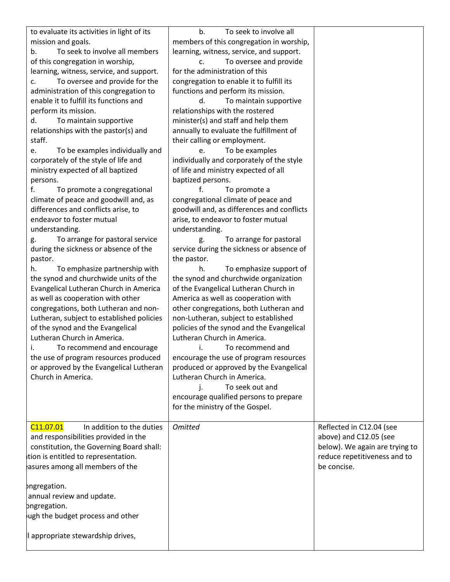| to evaluate its activities in light of its | To seek to involve all<br>b.               |                                |
|--------------------------------------------|--------------------------------------------|--------------------------------|
| mission and goals.                         | members of this congregation in worship,   |                                |
| To seek to involve all members<br>b.       | learning, witness, service, and support.   |                                |
| of this congregation in worship,           | To oversee and provide<br>c.               |                                |
| learning, witness, service, and support.   | for the administration of this             |                                |
| To oversee and provide for the<br>c.       | congregation to enable it to fulfill its   |                                |
| administration of this congregation to     | functions and perform its mission.         |                                |
| enable it to fulfill its functions and     | To maintain supportive<br>d.               |                                |
| perform its mission.                       | relationships with the rostered            |                                |
| d.<br>To maintain supportive               | minister(s) and staff and help them        |                                |
| relationships with the pastor(s) and       | annually to evaluate the fulfillment of    |                                |
| staff.                                     | their calling or employment.               |                                |
| To be examples individually and<br>e.      | To be examples<br>e.                       |                                |
| corporately of the style of life and       | individually and corporately of the style  |                                |
|                                            |                                            |                                |
| ministry expected of all baptized          | of life and ministry expected of all       |                                |
| persons.                                   | baptized persons.                          |                                |
| f.<br>To promote a congregational          | To promote a                               |                                |
| climate of peace and goodwill and, as      | congregational climate of peace and        |                                |
| differences and conflicts arise, to        | goodwill and, as differences and conflicts |                                |
| endeavor to foster mutual                  | arise, to endeavor to foster mutual        |                                |
| understanding.                             | understanding.                             |                                |
| To arrange for pastoral service<br>g.      | To arrange for pastoral<br>g.              |                                |
| during the sickness or absence of the      | service during the sickness or absence of  |                                |
| pastor.                                    | the pastor.                                |                                |
| To emphasize partnership with<br>h.        | To emphasize support of<br>h.              |                                |
| the synod and churchwide units of the      | the synod and churchwide organization      |                                |
| Evangelical Lutheran Church in America     | of the Evangelical Lutheran Church in      |                                |
| as well as cooperation with other          | America as well as cooperation with        |                                |
| congregations, both Lutheran and non-      | other congregations, both Lutheran and     |                                |
| Lutheran, subject to established policies  | non-Lutheran, subject to established       |                                |
| of the synod and the Evangelical           | policies of the synod and the Evangelical  |                                |
| Lutheran Church in America.                | Lutheran Church in America.                |                                |
| To recommend and encourage                 | To recommend and                           |                                |
| the use of program resources produced      | encourage the use of program resources     |                                |
|                                            |                                            |                                |
| or approved by the Evangelical Lutheran    | produced or approved by the Evangelical    |                                |
| Church in America.                         | Lutheran Church in America.                |                                |
|                                            | To seek out and                            |                                |
|                                            | encourage qualified persons to prepare     |                                |
|                                            | for the ministry of the Gospel.            |                                |
|                                            |                                            |                                |
| C11.07.01<br>In addition to the duties     | <b>Omitted</b>                             | Reflected in C12.04 (see       |
| and responsibilities provided in the       |                                            | above) and C12.05 (see         |
| constitution, the Governing Board shall:   |                                            | below). We again are trying to |
| tion is entitled to representation.        |                                            | reduce repetitiveness and to   |
| asures among all members of the            |                                            | be concise.                    |
|                                            |                                            |                                |
| ongregation.                               |                                            |                                |
| annual review and update.                  |                                            |                                |
| ongregation.                               |                                            |                                |
| ugh the budget process and other           |                                            |                                |
|                                            |                                            |                                |
| appropriate stewardship drives,            |                                            |                                |
|                                            |                                            |                                |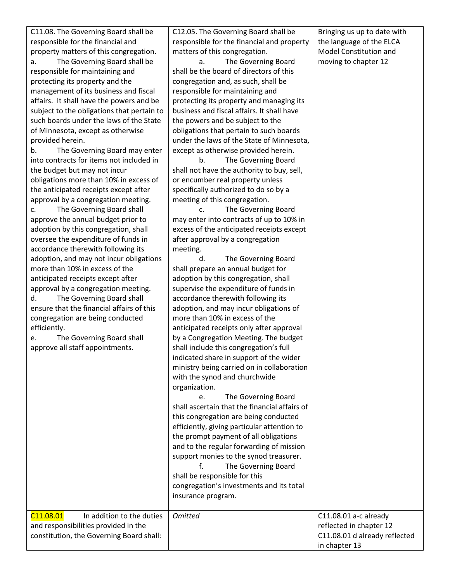C11.08. The Governing Board shall be responsible for the financial and property matters of this congregation. a. The Governing Board shall be responsible for maintaining and protecting its property and the management of its business and fiscal affairs. It shall have the powers and be subject to the obligations that pertain to such boards under the laws of the State of Minnesota, except as otherwise provided herein.

b. The Governing Board may enter into contracts for items not included in the budget but may not incur obligations more than 10% in excess of the anticipated receipts except after approval by a congregation meeting.

c. The Governing Board shall approve the annual budget prior to adoption by this congregation, shall oversee the expenditure of funds in accordance therewith following its adoption, and may not incur obligations more than 10% in excess of the anticipated receipts except after approval by a congregation meeting. d. The Governing Board shall ensure that the financial affairs of this congregation are being conducted efficiently.

e. The Governing Board shall approve all staff appointments.

C12.05. The Governing Board shall be responsible for the financial and property matters of this congregation.

a. The Governing Board shall be the board of directors of this congregation and, as such, shall be responsible for maintaining and protecting its property and managing its business and fiscal affairs. It shall have the powers and be subject to the obligations that pertain to such boards under the laws of the State of Minnesota, except as otherwise provided herein.

b. The Governing Board shall not have the authority to buy, sell, or encumber real property unless specifically authorized to do so by a meeting of this congregation.

c. The Governing Board may enter into contracts of up to 10% in excess of the anticipated receipts except after approval by a congregation meeting.

d. The Governing Board shall prepare an annual budget for adoption by this congregation, shall supervise the expenditure of funds in accordance therewith following its adoption, and may incur obligations of more than 10% in excess of the anticipated receipts only after approval by a Congregation Meeting. The budget shall include this congregation's full indicated share in support of the wider ministry being carried on in collaboration with the synod and churchwide organization.

e. The Governing Board shall ascertain that the financial affairs of this congregation are being conducted efficiently, giving particular attention to the prompt payment of all obligations and to the regular forwarding of mission support monies to the synod treasurer.

f. The Governing Board shall be responsible for this congregation's investments and its total insurance program.

 $C11.08.01$  In addition to the duties and responsibilities provided in the constitution, the Governing Board shall: *Omitted* C11.08.01 a-c already

Bringing us up to date with the language of the ELCA Model Constitution and moving to chapter 12

reflected in chapter 12 C11.08.01 d already reflected

in chapter 13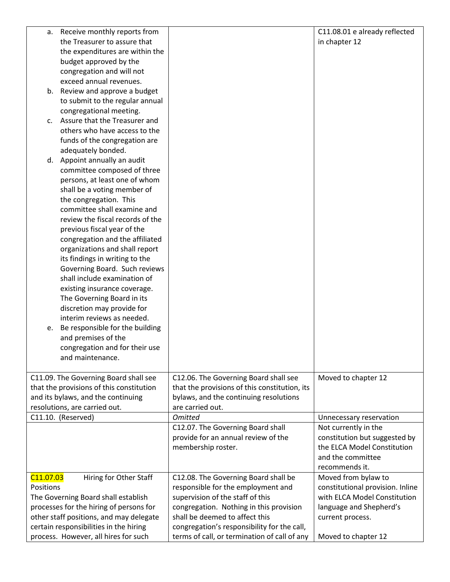| а.                    | Receive monthly reports from                       |                                               | C11.08.01 e already reflected    |
|-----------------------|----------------------------------------------------|-----------------------------------------------|----------------------------------|
|                       | the Treasurer to assure that                       |                                               | in chapter 12                    |
|                       | the expenditures are within the                    |                                               |                                  |
|                       | budget approved by the                             |                                               |                                  |
|                       | congregation and will not                          |                                               |                                  |
|                       | exceed annual revenues.                            |                                               |                                  |
| b.                    | Review and approve a budget                        |                                               |                                  |
|                       | to submit to the regular annual                    |                                               |                                  |
|                       | congregational meeting.                            |                                               |                                  |
|                       | c. Assure that the Treasurer and                   |                                               |                                  |
|                       | others who have access to the                      |                                               |                                  |
|                       | funds of the congregation are                      |                                               |                                  |
|                       | adequately bonded.                                 |                                               |                                  |
|                       | d. Appoint annually an audit                       |                                               |                                  |
|                       | committee composed of three                        |                                               |                                  |
|                       | persons, at least one of whom                      |                                               |                                  |
|                       | shall be a voting member of                        |                                               |                                  |
|                       | the congregation. This                             |                                               |                                  |
|                       | committee shall examine and                        |                                               |                                  |
|                       | review the fiscal records of the                   |                                               |                                  |
|                       | previous fiscal year of the                        |                                               |                                  |
|                       | congregation and the affiliated                    |                                               |                                  |
|                       | organizations and shall report                     |                                               |                                  |
|                       | its findings in writing to the                     |                                               |                                  |
|                       | Governing Board. Such reviews                      |                                               |                                  |
|                       | shall include examination of                       |                                               |                                  |
|                       | existing insurance coverage.                       |                                               |                                  |
|                       | The Governing Board in its                         |                                               |                                  |
|                       | discretion may provide for                         |                                               |                                  |
|                       | interim reviews as needed.                         |                                               |                                  |
| е.                    | Be responsible for the building                    |                                               |                                  |
|                       | and premises of the                                |                                               |                                  |
|                       | congregation and for their use<br>and maintenance. |                                               |                                  |
|                       |                                                    |                                               |                                  |
|                       | C11.09. The Governing Board shall see              | C12.06. The Governing Board shall see         | Moved to chapter 12              |
|                       | that the provisions of this constitution           | that the provisions of this constitution, its |                                  |
|                       | and its bylaws, and the continuing                 | bylaws, and the continuing resolutions        |                                  |
|                       | resolutions, are carried out.                      | are carried out.                              |                                  |
|                       | C11.10. (Reserved)                                 | <b>Omitted</b>                                | Unnecessary reservation          |
|                       |                                                    | C12.07. The Governing Board shall             | Not currently in the             |
|                       |                                                    | provide for an annual review of the           | constitution but suggested by    |
|                       |                                                    | membership roster.                            | the ELCA Model Constitution      |
|                       |                                                    |                                               | and the committee                |
|                       |                                                    |                                               | recommends it.                   |
| C <sub>11.07.03</sub> | Hiring for Other Staff                             | C12.08. The Governing Board shall be          | Moved from bylaw to              |
| Positions             |                                                    | responsible for the employment and            | constitutional provision. Inline |
|                       | The Governing Board shall establish                | supervision of the staff of this              | with ELCA Model Constitution     |
|                       | processes for the hiring of persons for            | congregation. Nothing in this provision       | language and Shepherd's          |
|                       | other staff positions, and may delegate            | shall be deemed to affect this                | current process.                 |
|                       | certain responsibilities in the hiring             | congregation's responsibility for the call,   |                                  |
|                       | process. However, all hires for such               | terms of call, or termination of call of any  | Moved to chapter 12              |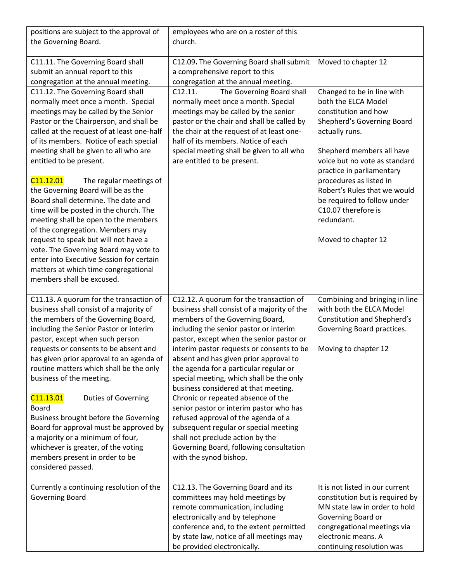| positions are subject to the approval of<br>the Governing Board.                                                                                                                                                                                                                                                                                                                                                                                                                                                                                                                                                                                                                                                                                                     | employees who are on a roster of this<br>church.                                                                                                                                                                                                                                                                                                                                                                                                                                                                                                                                                                                                                                                               |                                                                                                                                                                                                                                                                                                                                                                            |
|----------------------------------------------------------------------------------------------------------------------------------------------------------------------------------------------------------------------------------------------------------------------------------------------------------------------------------------------------------------------------------------------------------------------------------------------------------------------------------------------------------------------------------------------------------------------------------------------------------------------------------------------------------------------------------------------------------------------------------------------------------------------|----------------------------------------------------------------------------------------------------------------------------------------------------------------------------------------------------------------------------------------------------------------------------------------------------------------------------------------------------------------------------------------------------------------------------------------------------------------------------------------------------------------------------------------------------------------------------------------------------------------------------------------------------------------------------------------------------------------|----------------------------------------------------------------------------------------------------------------------------------------------------------------------------------------------------------------------------------------------------------------------------------------------------------------------------------------------------------------------------|
| C11.11. The Governing Board shall<br>submit an annual report to this<br>congregation at the annual meeting.                                                                                                                                                                                                                                                                                                                                                                                                                                                                                                                                                                                                                                                          | C12.09. The Governing Board shall submit<br>a comprehensive report to this<br>congregation at the annual meeting.                                                                                                                                                                                                                                                                                                                                                                                                                                                                                                                                                                                              | Moved to chapter 12                                                                                                                                                                                                                                                                                                                                                        |
| C11.12. The Governing Board shall<br>normally meet once a month. Special<br>meetings may be called by the Senior<br>Pastor or the Chairperson, and shall be<br>called at the request of at least one-half<br>of its members. Notice of each special<br>meeting shall be given to all who are<br>entitled to be present.<br>C11.12.01<br>The regular meetings of<br>the Governing Board will be as the<br>Board shall determine. The date and<br>time will be posted in the church. The<br>meeting shall be open to the members<br>of the congregation. Members may<br>request to speak but will not have a<br>vote. The Governing Board may vote to<br>enter into Executive Session for certain<br>matters at which time congregational<br>members shall be excused. | C12.11.<br>The Governing Board shall<br>normally meet once a month. Special<br>meetings may be called by the senior<br>pastor or the chair and shall be called by<br>the chair at the request of at least one-<br>half of its members. Notice of each<br>special meeting shall be given to all who<br>are entitled to be present.                                                                                                                                                                                                                                                                                                                                                                              | Changed to be in line with<br>both the ELCA Model<br>constitution and how<br>Shepherd's Governing Board<br>actually runs.<br>Shepherd members all have<br>voice but no vote as standard<br>practice in parliamentary<br>procedures as listed in<br>Robert's Rules that we would<br>be required to follow under<br>C10.07 therefore is<br>redundant.<br>Moved to chapter 12 |
| C11.13. A quorum for the transaction of<br>business shall consist of a majority of<br>the members of the Governing Board,<br>including the Senior Pastor or interim<br>pastor, except when such person<br>requests or consents to be absent and<br>has given prior approval to an agenda of<br>routine matters which shall be the only<br>business of the meeting.<br>C <sub>11.13.01</sub><br><b>Duties of Governing</b><br><b>Board</b><br>Business brought before the Governing<br>Board for approval must be approved by<br>a majority or a minimum of four,<br>whichever is greater, of the voting<br>members present in order to be<br>considered passed.                                                                                                      | C12.12. A quorum for the transaction of<br>business shall consist of a majority of the<br>members of the Governing Board,<br>including the senior pastor or interim<br>pastor, except when the senior pastor or<br>interim pastor requests or consents to be<br>absent and has given prior approval to<br>the agenda for a particular regular or<br>special meeting, which shall be the only<br>business considered at that meeting.<br>Chronic or repeated absence of the<br>senior pastor or interim pastor who has<br>refused approval of the agenda of a<br>subsequent regular or special meeting<br>shall not preclude action by the<br>Governing Board, following consultation<br>with the synod bishop. | Combining and bringing in line<br>with both the ELCA Model<br>Constitution and Shepherd's<br>Governing Board practices.<br>Moving to chapter 12                                                                                                                                                                                                                            |
| Currently a continuing resolution of the<br><b>Governing Board</b>                                                                                                                                                                                                                                                                                                                                                                                                                                                                                                                                                                                                                                                                                                   | C12.13. The Governing Board and its<br>committees may hold meetings by<br>remote communication, including<br>electronically and by telephone<br>conference and, to the extent permitted<br>by state law, notice of all meetings may<br>be provided electronically.                                                                                                                                                                                                                                                                                                                                                                                                                                             | It is not listed in our current<br>constitution but is required by<br>MN state law in order to hold<br>Governing Board or<br>congregational meetings via<br>electronic means. A<br>continuing resolution was                                                                                                                                                               |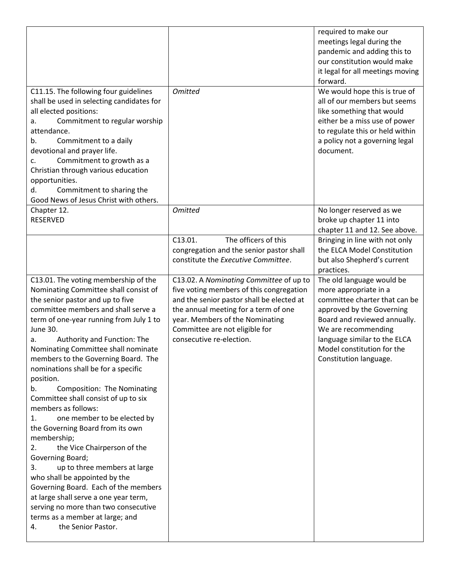|                                                                                                                                                                                                                                                                                                                                                                                                                                                                                                                                                                                                                                                                                                                                                                                                                                                                                                                   |                                                                                                                                                                                                                                                                           | required to make our<br>meetings legal during the<br>pandemic and adding this to<br>our constitution would make<br>it legal for all meetings moving<br>forward.                                                                                                 |
|-------------------------------------------------------------------------------------------------------------------------------------------------------------------------------------------------------------------------------------------------------------------------------------------------------------------------------------------------------------------------------------------------------------------------------------------------------------------------------------------------------------------------------------------------------------------------------------------------------------------------------------------------------------------------------------------------------------------------------------------------------------------------------------------------------------------------------------------------------------------------------------------------------------------|---------------------------------------------------------------------------------------------------------------------------------------------------------------------------------------------------------------------------------------------------------------------------|-----------------------------------------------------------------------------------------------------------------------------------------------------------------------------------------------------------------------------------------------------------------|
| C11.15. The following four guidelines<br>shall be used in selecting candidates for<br>all elected positions:<br>Commitment to regular worship<br>а.<br>attendance.<br>Commitment to a daily<br>b.<br>devotional and prayer life.<br>Commitment to growth as a<br>c.<br>Christian through various education<br>opportunities.<br>Commitment to sharing the<br>d.<br>Good News of Jesus Christ with others.                                                                                                                                                                                                                                                                                                                                                                                                                                                                                                         | <b>Omitted</b>                                                                                                                                                                                                                                                            | We would hope this is true of<br>all of our members but seems<br>like something that would<br>either be a miss use of power<br>to regulate this or held within<br>a policy not a governing legal<br>document.                                                   |
| Chapter 12.<br><b>RESERVED</b>                                                                                                                                                                                                                                                                                                                                                                                                                                                                                                                                                                                                                                                                                                                                                                                                                                                                                    | <b>Omitted</b>                                                                                                                                                                                                                                                            | No longer reserved as we<br>broke up chapter 11 into<br>chapter 11 and 12. See above.                                                                                                                                                                           |
|                                                                                                                                                                                                                                                                                                                                                                                                                                                                                                                                                                                                                                                                                                                                                                                                                                                                                                                   | The officers of this<br>C13.01.<br>congregation and the senior pastor shall<br>constitute the Executive Committee.                                                                                                                                                        | Bringing in line with not only<br>the ELCA Model Constitution<br>but also Shepherd's current<br>practices.                                                                                                                                                      |
| C13.01. The voting membership of the<br>Nominating Committee shall consist of<br>the senior pastor and up to five<br>committee members and shall serve a<br>term of one-year running from July 1 to<br><b>June 30.</b><br>Authority and Function: The<br>а.<br>Nominating Committee shall nominate<br>members to the Governing Board. The<br>nominations shall be for a specific<br>position.<br>Composition: The Nominating<br>b.<br>Committee shall consist of up to six<br>members as follows:<br>one member to be elected by<br>1.<br>the Governing Board from its own<br>membership;<br>the Vice Chairperson of the<br>2.<br>Governing Board;<br>up to three members at large<br>3.<br>who shall be appointed by the<br>Governing Board. Each of the members<br>at large shall serve a one year term,<br>serving no more than two consecutive<br>terms as a member at large; and<br>the Senior Pastor.<br>4. | C13.02. A Nominating Committee of up to<br>five voting members of this congregation<br>and the senior pastor shall be elected at<br>the annual meeting for a term of one<br>year. Members of the Nominating<br>Committee are not eligible for<br>consecutive re-election. | The old language would be<br>more appropriate in a<br>committee charter that can be<br>approved by the Governing<br>Board and reviewed annually.<br>We are recommending<br>language similar to the ELCA<br>Model constitution for the<br>Constitution language. |